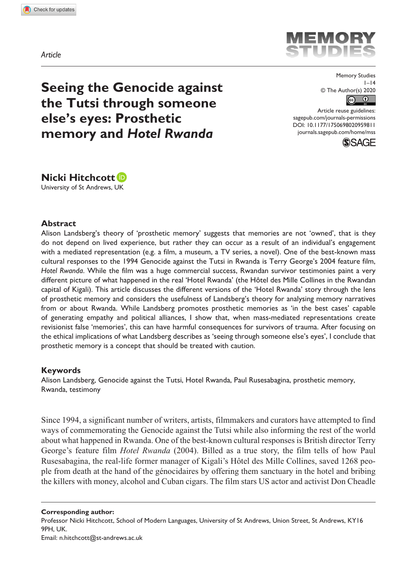*Article*



**Seeing the Genocide against the Tutsi through someone else's eyes: Prosthetic memory and** *Hotel Rwanda*

Memory Studies  $1 - 14$ © The Author(s) 2020  $\odot$ 

DOI: 10.1177/1750698020959811 Article reuse guidelines: [sagepub.com/journals-permissions](https://uk.sagepub.com/en-gb/journals-permissions) [journals.sagepub.com/home/mss](https://journals.sagepub.com/home/mss)





### **Abstract**

Alison Landsberg's theory of 'prosthetic memory' suggests that memories are not 'owned', that is they do not depend on lived experience, but rather they can occur as a result of an individual's engagement with a mediated representation (e.g. a film, a museum, a TV series, a novel). One of the best-known mass cultural responses to the 1994 Genocide against the Tutsi in Rwanda is Terry George's 2004 feature film, *Hotel Rwanda*. While the film was a huge commercial success, Rwandan survivor testimonies paint a very different picture of what happened in the real 'Hotel Rwanda' (the Hôtel des Mille Collines in the Rwandan capital of Kigali). This article discusses the different versions of the 'Hotel Rwanda' story through the lens of prosthetic memory and considers the usefulness of Landsberg's theory for analysing memory narratives from or about Rwanda. While Landsberg promotes prosthetic memories as 'in the best cases' capable of generating empathy and political alliances, I show that, when mass-mediated representations create revisionist false 'memories', this can have harmful consequences for survivors of trauma. After focusing on the ethical implications of what Landsberg describes as 'seeing through someone else's eyes', I conclude that prosthetic memory is a concept that should be treated with caution.

#### **Keywords**

Alison Landsberg, Genocide against the Tutsi, Hotel Rwanda, Paul Rusesabagina, prosthetic memory, Rwanda, testimony

Since 1994, a significant number of writers, artists, filmmakers and curators have attempted to find ways of commemorating the Genocide against the Tutsi while also informing the rest of the world about what happened in Rwanda. One of the best-known cultural responses is British director Terry George's feature film *Hotel Rwanda* (2004). Billed as a true story, the film tells of how Paul Rusesabagina, the real-life former manager of Kigali's Hôtel des Mille Collines, saved 1268 people from death at the hand of the génocidaires by offering them sanctuary in the hotel and bribing the killers with money, alcohol and Cuban cigars. The film stars US actor and activist Don Cheadle

**Corresponding author:** Professor Nicki Hitchcott, School of Modern Languages, University of St Andrews, Union Street, St Andrews, KY16 9PH, UK. Email: [n.hitchcott@st-andrews.ac.uk](mailto:n.hitchcott@st-andrews.ac.uk)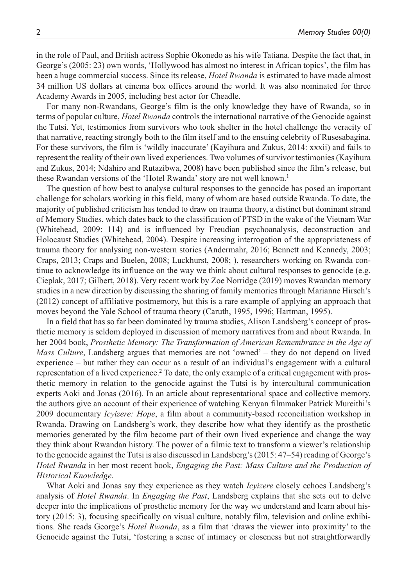in the role of Paul, and British actress Sophie Okonedo as his wife Tatiana. Despite the fact that, in George's (2005: 23) own words, 'Hollywood has almost no interest in African topics', the film has been a huge commercial success. Since its release, *Hotel Rwanda* is estimated to have made almost 34 million US dollars at cinema box offices around the world. It was also nominated for three Academy Awards in 2005, including best actor for Cheadle.

For many non-Rwandans, George's film is the only knowledge they have of Rwanda, so in terms of popular culture, *Hotel Rwanda* controls the international narrative of the Genocide against the Tutsi. Yet, testimonies from survivors who took shelter in the hotel challenge the veracity of that narrative, reacting strongly both to the film itself and to the ensuing celebrity of Rusesabagina. For these survivors, the film is 'wildly inaccurate' (Kayihura and Zukus, 2014: xxxii) and fails to represent the reality of their own lived experiences. Two volumes of survivor testimonies (Kayihura and Zukus, 2014; Ndahiro and Rutazibwa, 2008) have been published since the film's release, but these Rwandan versions of the 'Hotel Rwanda' story are not well known.<sup>1</sup>

The question of how best to analyse cultural responses to the genocide has posed an important challenge for scholars working in this field, many of whom are based outside Rwanda. To date, the majority of published criticism has tended to draw on trauma theory, a distinct but dominant strand of Memory Studies, which dates back to the classification of PTSD in the wake of the Vietnam War (Whitehead, 2009: 114) and is influenced by Freudian psychoanalysis, deconstruction and Holocaust Studies (Whitehead, 2004). Despite increasing interrogation of the appropriateness of trauma theory for analysing non-western stories (Andermahr, 2016; Bennett and Kennedy, 2003; Craps, 2013; Craps and Buelen, 2008; Luckhurst, 2008; ), researchers working on Rwanda continue to acknowledge its influence on the way we think about cultural responses to genocide (e.g. Cieplak, 2017; Gilbert, 2018). Very recent work by Zoe Norridge (2019) moves Rwandan memory studies in a new direction by discussing the sharing of family memories through Marianne Hirsch's (2012) concept of affiliative postmemory, but this is a rare example of applying an approach that moves beyond the Yale School of trauma theory (Caruth, 1995, 1996; Hartman, 1995).

In a field that has so far been dominated by trauma studies, Alison Landsberg's concept of prosthetic memory is seldom deployed in discussion of memory narratives from and about Rwanda. In her 2004 book, *Prosthetic Memory: The Transformation of American Remembrance in the Age of Mass Culture*, Landsberg argues that memories are not 'owned' – they do not depend on lived experience – but rather they can occur as a result of an individual's engagement with a cultural representation of a lived experience.<sup>2</sup> To date, the only example of a critical engagement with prosthetic memory in relation to the genocide against the Tutsi is by intercultural communication experts Aoki and Jonas (2016). In an article about representational space and collective memory, the authors give an account of their experience of watching Kenyan filmmaker Patrick Mureithi's 2009 documentary *Icyizere: Hope*, a film about a community-based reconciliation workshop in Rwanda. Drawing on Landsberg's work, they describe how what they identify as the prosthetic memories generated by the film become part of their own lived experience and change the way they think about Rwandan history. The power of a filmic text to transform a viewer's relationship to the genocide against the Tutsi is also discussed in Landsberg's (2015: 47–54) reading of George's *Hotel Rwanda* in her most recent book, *Engaging the Past: Mass Culture and the Production of Historical Knowledge*.

What Aoki and Jonas say they experience as they watch *Icyizere* closely echoes Landsberg's analysis of *Hotel Rwanda*. In *Engaging the Past*, Landsberg explains that she sets out to delve deeper into the implications of prosthetic memory for the way we understand and learn about history (2015: 3), focusing specifically on visual culture, notably film, television and online exhibitions. She reads George's *Hotel Rwanda*, as a film that 'draws the viewer into proximity' to the Genocide against the Tutsi, 'fostering a sense of intimacy or closeness but not straightforwardly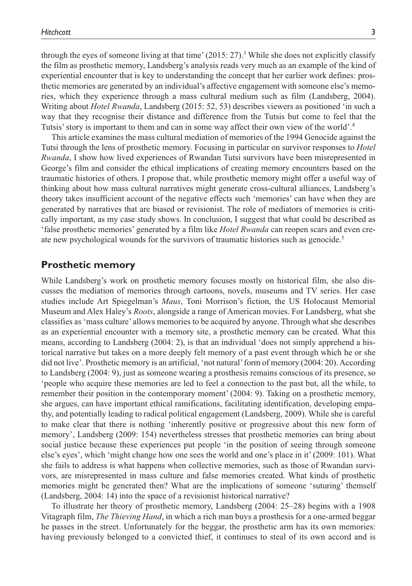through the eyes of someone living at that time'  $(2015: 27)$ .<sup>3</sup> While she does not explicitly classify the film as prosthetic memory, Landsberg's analysis reads very much as an example of the kind of experiential encounter that is key to understanding the concept that her earlier work defines: prosthetic memories are generated by an individual's affective engagement with someone else's memories, which they experience through a mass cultural medium such as film (Landsberg, 2004). Writing about *Hotel Rwanda*, Landsberg (2015: 52, 53) describes viewers as positioned 'in such a way that they recognise their distance and difference from the Tutsis but come to feel that the Tutsis' story is important to them and can in some way affect their own view of the world'.4

This article examines the mass cultural mediation of memories of the 1994 Genocide against the Tutsi through the lens of prosthetic memory. Focusing in particular on survivor responses to *Hotel Rwanda*, I show how lived experiences of Rwandan Tutsi survivors have been misrepresented in George's film and consider the ethical implications of creating memory encounters based on the traumatic histories of others. I propose that, while prosthetic memory might offer a useful way of thinking about how mass cultural narratives might generate cross-cultural alliances, Landsberg's theory takes insufficient account of the negative effects such 'memories' can have when they are generated by narratives that are biased or revisionist. The role of mediators of memories is critically important, as my case study shows. In conclusion, I suggest that what could be described as 'false prosthetic memories' generated by a film like *Hotel Rwanda* can reopen scars and even create new psychological wounds for the survivors of traumatic histories such as genocide.<sup>5</sup>

# **Prosthetic memory**

While Landsberg's work on prosthetic memory focuses mostly on historical film, she also discusses the mediation of memories through cartoons, novels, museums and TV series. Her case studies include Art Spiegelman's *Maus*, Toni Morrison's fiction, the US Holocaust Memorial Museum and Alex Haley's *Roots*, alongside a range of American movies. For Landsberg, what she classifies as 'mass culture' allows memories to be acquired by anyone. Through what she describes as an experiential encounter with a memory site, a prosthetic memory can be created. What this means, according to Landsberg (2004: 2), is that an individual 'does not simply apprehend a historical narrative but takes on a more deeply felt memory of a past event through which he or she did not live'. Prosthetic memory is an artificial, 'not natural' form of memory (2004: 20). According to Landsberg (2004: 9), just as someone wearing a prosthesis remains conscious of its presence, so 'people who acquire these memories are led to feel a connection to the past but, all the while, to remember their position in the contemporary moment' (2004: 9). Taking on a prosthetic memory, she argues, can have important ethical ramifications, facilitating identification, developing empathy, and potentially leading to radical political engagement (Landsberg, 2009). While she is careful to make clear that there is nothing 'inherently positive or progressive about this new form of memory', Landsberg (2009: 154) nevertheless stresses that prosthetic memories can bring about social justice because these experiences put people 'in the position of seeing through someone else's eyes', which 'might change how one sees the world and one's place in it' (2009: 101). What she fails to address is what happens when collective memories, such as those of Rwandan survivors, are misrepresented in mass culture and false memories created. What kinds of prosthetic memories might be generated then? What are the implications of someone 'suturing' themself (Landsberg, 2004: 14) into the space of a revisionist historical narrative?

To illustrate her theory of prosthetic memory, Landsberg (2004: 25–28) begins with a 1908 Vitagraph film, *The Thieving Hand*, in which a rich man buys a prosthesis for a one-armed beggar he passes in the street. Unfortunately for the beggar, the prosthetic arm has its own memories: having previously belonged to a convicted thief, it continues to steal of its own accord and is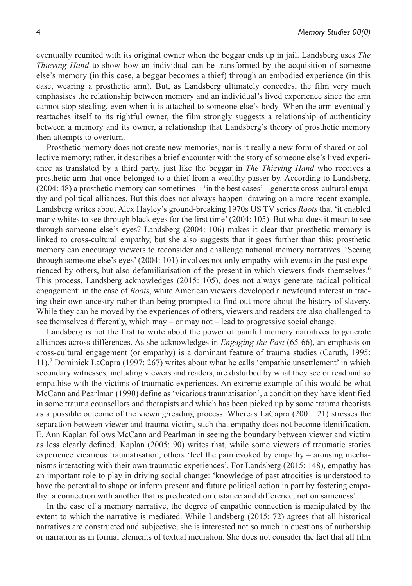eventually reunited with its original owner when the beggar ends up in jail. Landsberg uses *The Thieving Hand* to show how an individual can be transformed by the acquisition of someone else's memory (in this case, a beggar becomes a thief) through an embodied experience (in this case, wearing a prosthetic arm). But, as Landsberg ultimately concedes, the film very much emphasises the relationship between memory and an individual's lived experience since the arm cannot stop stealing, even when it is attached to someone else's body. When the arm eventually reattaches itself to its rightful owner, the film strongly suggests a relationship of authenticity between a memory and its owner, a relationship that Landsberg's theory of prosthetic memory then attempts to overturn.

Prosthetic memory does not create new memories, nor is it really a new form of shared or collective memory; rather, it describes a brief encounter with the story of someone else's lived experience as translated by a third party, just like the beggar in *The Thieving Hand* who receives a prosthetic arm that once belonged to a thief from a wealthy passer-by. According to Landsberg, (2004: 48) a prosthetic memory can sometimes – 'in the best cases' – generate cross-cultural empathy and political alliances. But this does not always happen: drawing on a more recent example, Landsberg writes about Alex Hayley's ground-breaking 1970s US TV series *Roots* that 'it enabled many whites to see through black eyes for the first time' (2004: 105). But what does it mean to see through someone else's eyes? Landsberg (2004: 106) makes it clear that prosthetic memory is linked to cross-cultural empathy, but she also suggests that it goes further than this: prosthetic memory can encourage viewers to reconsider and challenge national memory narratives. 'Seeing through someone else's eyes' (2004: 101) involves not only empathy with events in the past experienced by others, but also defamiliarisation of the present in which viewers finds themselves.<sup>6</sup> This process, Landsberg acknowledges (2015: 105), does not always generate radical political engagement: in the case of *Roots*, white American viewers developed a newfound interest in tracing their own ancestry rather than being prompted to find out more about the history of slavery. While they can be moved by the experiences of others, viewers and readers are also challenged to see themselves differently, which may – or may not – lead to progressive social change.

Landsberg is not the first to write about the power of painful memory narratives to generate alliances across differences. As she acknowledges in *Engaging the Past* (65-66), an emphasis on cross-cultural engagement (or empathy) is a dominant feature of trauma studies (Caruth, 1995: 11).7 Dominick LaCapra (1997: 267) writes about what he calls 'empathic unsettlement' in which secondary witnesses, including viewers and readers, are disturbed by what they see or read and so empathise with the victims of traumatic experiences. An extreme example of this would be what McCann and Pearlman (1990) define as 'vicarious traumatisation', a condition they have identified in some trauma counsellors and therapists and which has been picked up by some trauma theorists as a possible outcome of the viewing/reading process. Whereas LaCapra (2001: 21) stresses the separation between viewer and trauma victim, such that empathy does not become identification, E. Ann Kaplan follows McCann and Pearlman in seeing the boundary between viewer and victim as less clearly defined. Kaplan (2005: 90) writes that, while some viewers of traumatic stories experience vicarious traumatisation, others 'feel the pain evoked by empathy – arousing mechanisms interacting with their own traumatic experiences'. For Landsberg (2015: 148), empathy has an important role to play in driving social change: 'knowledge of past atrocities is understood to have the potential to shape or inform present and future political action in part by fostering empathy: a connection with another that is predicated on distance and difference, not on sameness'.

In the case of a memory narrative, the degree of empathic connection is manipulated by the extent to which the narrative is mediated. While Landsberg (2015: 72) agrees that all historical narratives are constructed and subjective, she is interested not so much in questions of authorship or narration as in formal elements of textual mediation. She does not consider the fact that all film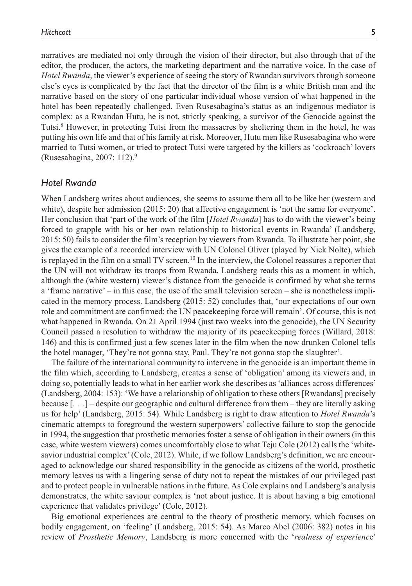narratives are mediated not only through the vision of their director, but also through that of the editor, the producer, the actors, the marketing department and the narrative voice. In the case of *Hotel Rwanda*, the viewer's experience of seeing the story of Rwandan survivors through someone else's eyes is complicated by the fact that the director of the film is a white British man and the narrative based on the story of one particular individual whose version of what happened in the hotel has been repeatedly challenged. Even Rusesabagina's status as an indigenous mediator is complex: as a Rwandan Hutu, he is not, strictly speaking, a survivor of the Genocide against the Tutsi.<sup>8</sup> However, in protecting Tutsi from the massacres by sheltering them in the hotel, he was putting his own life and that of his family at risk. Moreover, Hutu men like Rusesabagina who were married to Tutsi women, or tried to protect Tutsi were targeted by the killers as 'cockroach' lovers (Rusesabagina, 2007: 112).9

## *Hotel Rwanda*

When Landsberg writes about audiences, she seems to assume them all to be like her (western and white), despite her admission (2015: 20) that affective engagement is 'not the same for everyone'. Her conclusion that 'part of the work of the film [*Hotel Rwanda*] has to do with the viewer's being forced to grapple with his or her own relationship to historical events in Rwanda' (Landsberg, 2015: 50) fails to consider the film's reception by viewers from Rwanda. To illustrate her point, she gives the example of a recorded interview with UN Colonel Oliver (played by Nick Nolte), which is replayed in the film on a small TV screen.<sup>10</sup> In the interview, the Colonel reassures a reporter that the UN will not withdraw its troops from Rwanda. Landsberg reads this as a moment in which, although the (white western) viewer's distance from the genocide is confirmed by what she terms a 'frame narrative' – in this case, the use of the small television screen – she is nonetheless implicated in the memory process. Landsberg (2015: 52) concludes that, 'our expectations of our own role and commitment are confirmed: the UN peacekeeping force will remain'. Of course, this is not what happened in Rwanda. On 21 April 1994 (just two weeks into the genocide), the UN Security Council passed a resolution to withdraw the majority of its peacekeeping forces (Willard, 2018: 146) and this is confirmed just a few scenes later in the film when the now drunken Colonel tells the hotel manager, 'They're not gonna stay, Paul. They're not gonna stop the slaughter'.

The failure of the international community to intervene in the genocide is an important theme in the film which, according to Landsberg, creates a sense of 'obligation' among its viewers and, in doing so, potentially leads to what in her earlier work she describes as 'alliances across differences' (Landsberg, 2004: 153): 'We have a relationship of obligation to these others [Rwandans] precisely because [. . .] – despite our geographic and cultural difference from them – they are literally asking us for help' (Landsberg, 2015: 54). While Landsberg is right to draw attention to *Hotel Rwanda*'s cinematic attempts to foreground the western superpowers' collective failure to stop the genocide in 1994, the suggestion that prosthetic memories foster a sense of obligation in their owners (in this case, white western viewers) comes uncomfortably close to what Teju Cole (2012) calls the 'whitesavior industrial complex' (Cole, 2012). While, if we follow Landsberg's definition, we are encouraged to acknowledge our shared responsibility in the genocide as citizens of the world, prosthetic memory leaves us with a lingering sense of duty not to repeat the mistakes of our privileged past and to protect people in vulnerable nations in the future. As Cole explains and Landsberg's analysis demonstrates, the white saviour complex is 'not about justice. It is about having a big emotional experience that validates privilege' (Cole, 2012).

Big emotional experiences are central to the theory of prosthetic memory, which focuses on bodily engagement, on 'feeling' (Landsberg, 2015: 54). As Marco Abel (2006: 382) notes in his review of *Prosthetic Memory*, Landsberg is more concerned with the '*realness of experienc*e'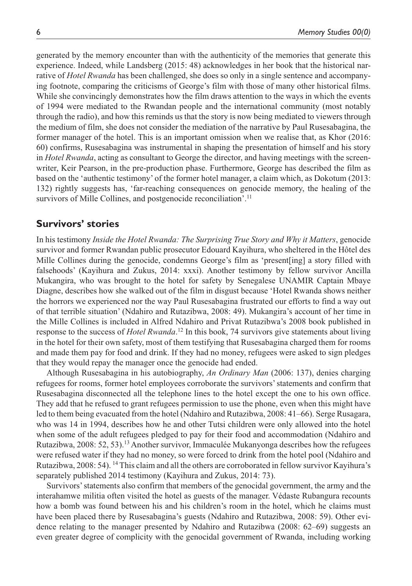generated by the memory encounter than with the authenticity of the memories that generate this experience. Indeed, while Landsberg (2015: 48) acknowledges in her book that the historical narrative of *Hotel Rwanda* has been challenged, she does so only in a single sentence and accompanying footnote, comparing the criticisms of George's film with those of many other historical films. While she convincingly demonstrates how the film draws attention to the ways in which the events of 1994 were mediated to the Rwandan people and the international community (most notably through the radio), and how this reminds us that the story is now being mediated to viewers through the medium of film, she does not consider the mediation of the narrative by Paul Rusesabagina, the former manager of the hotel. This is an important omission when we realise that, as Khor (2016: 60) confirms, Rusesabagina was instrumental in shaping the presentation of himself and his story in *Hotel Rwanda*, acting as consultant to George the director, and having meetings with the screenwriter, Keir Pearson, in the pre-production phase. Furthermore, George has described the film as based on the 'authentic testimony' of the former hotel manager, a claim which, as Dokotum (2013: 132) rightly suggests has, 'far-reaching consequences on genocide memory, the healing of the survivors of Mille Collines, and postgenocide reconciliation'.<sup>11</sup>

# **Survivors' stories**

In his testimony *Inside the Hotel Rwanda: The Surprising True Story and Why it Matters*, genocide survivor and former Rwandan public prosecutor Edouard Kayihura, who sheltered in the Hôtel des Mille Collines during the genocide, condemns George's film as 'present[ing] a story filled with falsehoods' (Kayihura and Zukus, 2014: xxxi). Another testimony by fellow survivor Ancilla Mukangira, who was brought to the hotel for safety by Senegalese UNAMIR Captain Mbaye Diagne, describes how she walked out of the film in disgust because 'Hotel Rwanda shows neither the horrors we experienced nor the way Paul Rusesabagina frustrated our efforts to find a way out of that terrible situation' (Ndahiro and Rutazibwa, 2008: 49). Mukangira's account of her time in the Mille Collines is included in Alfred Ndahiro and Privat Rutazibwa's 2008 book published in response to the success of *Hotel Rwanda*. 12 In this book, 74 survivors give statements about living in the hotel for their own safety, most of them testifying that Rusesabagina charged them for rooms and made them pay for food and drink. If they had no money, refugees were asked to sign pledges that they would repay the manager once the genocide had ended.

Although Rusesabagina in his autobiography, *An Ordinary Man* (2006: 137), denies charging refugees for rooms, former hotel employees corroborate the survivors' statements and confirm that Rusesabagina disconnected all the telephone lines to the hotel except the one to his own office. They add that he refused to grant refugees permission to use the phone, even when this might have led to them being evacuated from the hotel (Ndahiro and Rutazibwa, 2008: 41–66). Serge Rusagara, who was 14 in 1994, describes how he and other Tutsi children were only allowed into the hotel when some of the adult refugees pledged to pay for their food and accommodation (Ndahiro and Rutazibwa, 2008: 52, 53).13 Another survivor, Immaculée Mukanyonga describes how the refugees were refused water if they had no money, so were forced to drink from the hotel pool (Ndahiro and Rutazibwa, 2008: 54). 14 This claim and all the others are corroborated in fellow survivor Kayihura's separately published 2014 testimony (Kayihura and Zukus, 2014: 73).

Survivors' statements also confirm that members of the genocidal government, the army and the interahamwe militia often visited the hotel as guests of the manager. Védaste Rubangura recounts how a bomb was found between his and his children's room in the hotel, which he claims must have been placed there by Rusesabagina's guests (Ndahiro and Rutazibwa, 2008: 59). Other evidence relating to the manager presented by Ndahiro and Rutazibwa (2008: 62–69) suggests an even greater degree of complicity with the genocidal government of Rwanda, including working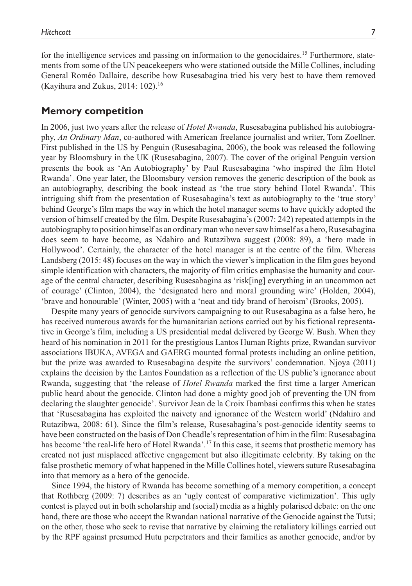for the intelligence services and passing on information to the genocidaires.15 Furthermore, statements from some of the UN peacekeepers who were stationed outside the Mille Collines, including General Roméo Dallaire, describe how Rusesabagina tried his very best to have them removed (Kayihura and Zukus, 2014: 102).<sup>16</sup>

## **Memory competition**

In 2006, just two years after the release of *Hotel Rwanda*, Rusesabagina published his autobiography, *An Ordinary Man*, co-authored with American freelance journalist and writer, Tom Zoellner. First published in the US by Penguin (Rusesabagina, 2006), the book was released the following year by Bloomsbury in the UK (Rusesabagina, 2007). The cover of the original Penguin version presents the book as 'An Autobiography' by Paul Rusesabagina 'who inspired the film Hotel Rwanda'. One year later, the Bloomsbury version removes the generic description of the book as an autobiography, describing the book instead as 'the true story behind Hotel Rwanda'. This intriguing shift from the presentation of Rusesabagina's text as autobiography to the 'true story' behind George's film maps the way in which the hotel manager seems to have quickly adopted the version of himself created by the film. Despite Rusesabagina's (2007: 242) repeated attempts in the autobiography to position himself as an ordinary man who never saw himself as a hero, Rusesabagina does seem to have become, as Ndahiro and Rutazibwa suggest (2008: 89), a 'hero made in Hollywood'. Certainly, the character of the hotel manager is at the centre of the film. Whereas Landsberg (2015: 48) focuses on the way in which the viewer's implication in the film goes beyond simple identification with characters, the majority of film critics emphasise the humanity and courage of the central character, describing Rusesabagina as 'risk[ing] everything in an uncommon act of courage' (Clinton, 2004), the 'designated hero and moral grounding wire' (Holden, 2004), 'brave and honourable' (Winter, 2005) with a 'neat and tidy brand of heroism' (Brooks, 2005).

Despite many years of genocide survivors campaigning to out Rusesabagina as a false hero, he has received numerous awards for the humanitarian actions carried out by his fictional representative in George's film, including a US presidential medal delivered by George W. Bush. When they heard of his nomination in 2011 for the prestigious Lantos Human Rights prize, Rwandan survivor associations IBUKA, AVEGA and GAERG mounted formal protests including an online petition, but the prize was awarded to Rusesabagina despite the survivors' condemnation. Njoya (2011) explains the decision by the Lantos Foundation as a reflection of the US public's ignorance about Rwanda, suggesting that 'the release of *Hotel Rwanda* marked the first time a larger American public heard about the genocide. Clinton had done a mighty good job of preventing the UN from declaring the slaughter genocide'. Survivor Jean de la Croix Ibambasi confirms this when he states that 'Rusesabagina has exploited the naivety and ignorance of the Western world' (Ndahiro and Rutazibwa, 2008: 61). Since the film's release, Rusesabagina's post-genocide identity seems to have been constructed on the basis of Don Cheadle's representation of him in the film: Rusesabagina has become 'the real-life hero of Hotel Rwanda'.<sup>17</sup> In this case, it seems that prosthetic memory has created not just misplaced affective engagement but also illegitimate celebrity. By taking on the false prosthetic memory of what happened in the Mille Collines hotel, viewers suture Rusesabagina into that memory as a hero of the genocide.

Since 1994, the history of Rwanda has become something of a memory competition, a concept that Rothberg (2009: 7) describes as an 'ugly contest of comparative victimization'. This ugly contest is played out in both scholarship and (social) media as a highly polarised debate: on the one hand, there are those who accept the Rwandan national narrative of the Genocide against the Tutsi; on the other, those who seek to revise that narrative by claiming the retaliatory killings carried out by the RPF against presumed Hutu perpetrators and their families as another genocide, and/or by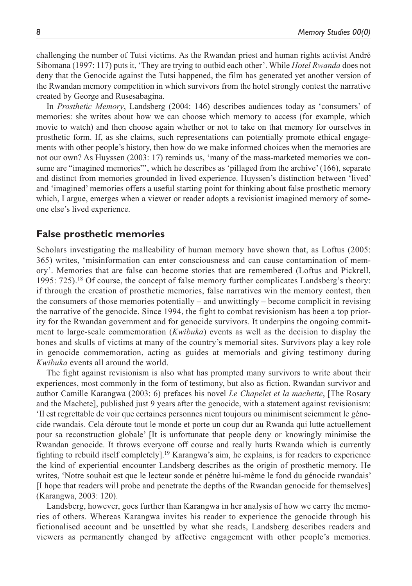challenging the number of Tutsi victims. As the Rwandan priest and human rights activist André Sibomana (1997: 117) puts it, 'They are trying to outbid each other'. While *Hotel Rwanda* does not deny that the Genocide against the Tutsi happened, the film has generated yet another version of the Rwandan memory competition in which survivors from the hotel strongly contest the narrative created by George and Rusesabagina.

In *Prosthetic Memory*, Landsberg (2004: 146) describes audiences today as 'consumers' of memories: she writes about how we can choose which memory to access (for example, which movie to watch) and then choose again whether or not to take on that memory for ourselves in prosthetic form. If, as she claims, such representations can potentially promote ethical engagements with other people's history, then how do we make informed choices when the memories are not our own? As Huyssen (2003: 17) reminds us, 'many of the mass-marketed memories we consume are "imagined memories"', which he describes as 'pillaged from the archive' (166), separate and distinct from memories grounded in lived experience. Huyssen's distinction between 'lived' and 'imagined' memories offers a useful starting point for thinking about false prosthetic memory which, I argue, emerges when a viewer or reader adopts a revisionist imagined memory of someone else's lived experience.

# **False prosthetic memories**

Scholars investigating the malleability of human memory have shown that, as Loftus (2005: 365) writes, 'misinformation can enter consciousness and can cause contamination of memory'. Memories that are false can become stories that are remembered (Loftus and Pickrell, 1995: 725).<sup>18</sup> Of course, the concept of false memory further complicates Landsberg's theory: if through the creation of prosthetic memories, false narratives win the memory contest, then the consumers of those memories potentially – and unwittingly – become complicit in revising the narrative of the genocide. Since 1994, the fight to combat revisionism has been a top priority for the Rwandan government and for genocide survivors. It underpins the ongoing commitment to large-scale commemoration (*Kwibuka*) events as well as the decision to display the bones and skulls of victims at many of the country's memorial sites. Survivors play a key role in genocide commemoration, acting as guides at memorials and giving testimony during *Kwibuka* events all around the world.

The fight against revisionism is also what has prompted many survivors to write about their experiences, most commonly in the form of testimony, but also as fiction. Rwandan survivor and author Camille Karangwa (2003: 6) prefaces his novel *Le Chapelet et la machette*, [The Rosary and the Machete], published just 9 years after the genocide, with a statement against revisionism: 'Il est regrettable de voir que certaines personnes nient toujours ou minimisent sciemment le génocide rwandais. Cela déroute tout le monde et porte un coup dur au Rwanda qui lutte actuellement pour sa reconstruction globale' [It is unfortunate that people deny or knowingly minimise the Rwandan genocide. It throws everyone off course and really hurts Rwanda which is currently fighting to rebuild itself completely].<sup>19</sup> Karangwa's aim, he explains, is for readers to experience the kind of experiential encounter Landsberg describes as the origin of prosthetic memory. He writes, 'Notre souhait est que le lecteur sonde et pénètre lui-même le fond du génocide rwandais' [I hope that readers will probe and penetrate the depths of the Rwandan genocide for themselves] (Karangwa, 2003: 120).

Landsberg, however, goes further than Karangwa in her analysis of how we carry the memories of others. Whereas Karangwa invites his reader to experience the genocide through his fictionalised account and be unsettled by what she reads, Landsberg describes readers and viewers as permanently changed by affective engagement with other people's memories.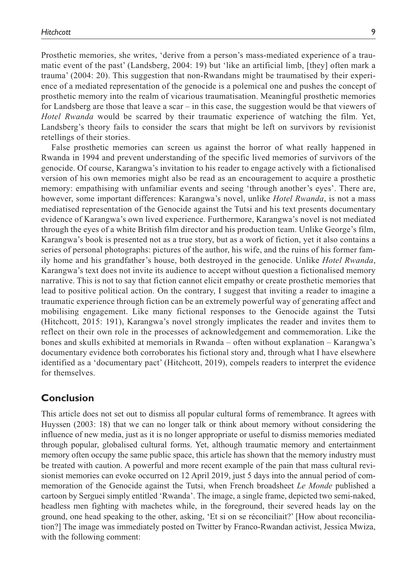Prosthetic memories, she writes, 'derive from a person's mass-mediated experience of a traumatic event of the past' (Landsberg, 2004: 19) but 'like an artificial limb, [they] often mark a trauma' (2004: 20). This suggestion that non-Rwandans might be traumatised by their experience of a mediated representation of the genocide is a polemical one and pushes the concept of prosthetic memory into the realm of vicarious traumatisation. Meaningful prosthetic memories for Landsberg are those that leave a scar – in this case, the suggestion would be that viewers of *Hotel Rwanda* would be scarred by their traumatic experience of watching the film. Yet, Landsberg's theory fails to consider the scars that might be left on survivors by revisionist retellings of their stories.

False prosthetic memories can screen us against the horror of what really happened in Rwanda in 1994 and prevent understanding of the specific lived memories of survivors of the genocide. Of course, Karangwa's invitation to his reader to engage actively with a fictionalised version of his own memories might also be read as an encouragement to acquire a prosthetic memory: empathising with unfamiliar events and seeing 'through another's eyes'. There are, however, some important differences: Karangwa's novel, unlike *Hotel Rwanda*, is not a mass mediatised representation of the Genocide against the Tutsi and his text presents documentary evidence of Karangwa's own lived experience. Furthermore, Karangwa's novel is not mediated through the eyes of a white British film director and his production team. Unlike George's film, Karangwa's book is presented not as a true story, but as a work of fiction, yet it also contains a series of personal photographs: pictures of the author, his wife, and the ruins of his former family home and his grandfather's house, both destroyed in the genocide. Unlike *Hotel Rwanda*, Karangwa's text does not invite its audience to accept without question a fictionalised memory narrative. This is not to say that fiction cannot elicit empathy or create prosthetic memories that lead to positive political action. On the contrary, I suggest that inviting a reader to imagine a traumatic experience through fiction can be an extremely powerful way of generating affect and mobilising engagement. Like many fictional responses to the Genocide against the Tutsi (Hitchcott, 2015: 191), Karangwa's novel strongly implicates the reader and invites them to reflect on their own role in the processes of acknowledgement and commemoration. Like the bones and skulls exhibited at memorials in Rwanda – often without explanation – Karangwa's documentary evidence both corroborates his fictional story and, through what I have elsewhere identified as a 'documentary pact' (Hitchcott, 2019), compels readers to interpret the evidence for themselves.

# **Conclusion**

This article does not set out to dismiss all popular cultural forms of remembrance. It agrees with Huyssen (2003: 18) that we can no longer talk or think about memory without considering the influence of new media, just as it is no longer appropriate or useful to dismiss memories mediated through popular, globalised cultural forms. Yet, although traumatic memory and entertainment memory often occupy the same public space, this article has shown that the memory industry must be treated with caution. A powerful and more recent example of the pain that mass cultural revisionist memories can evoke occurred on 12 April 2019, just 5 days into the annual period of commemoration of the Genocide against the Tutsi, when French broadsheet *Le Monde* published a cartoon by Serguei simply entitled 'Rwanda'. The image, a single frame, depicted two semi-naked, headless men fighting with machetes while, in the foreground, their severed heads lay on the ground, one head speaking to the other, asking, 'Et si on se réconciliait?' [How about reconciliation?] The image was immediately posted on Twitter by Franco-Rwandan activist, Jessica Mwiza, with the following comment: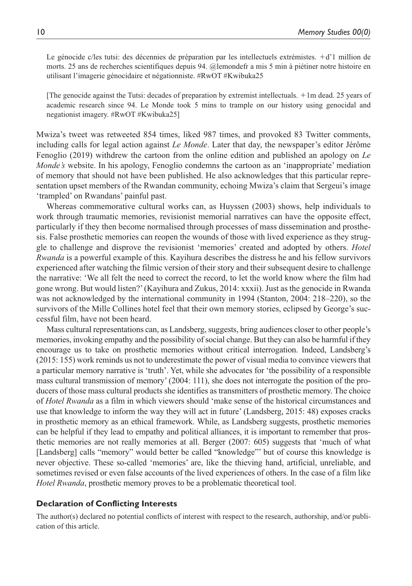Le génocide c/les tutsi: des décennies de préparation par les intellectuels extrémistes. +d'1 million de morts. 25 ans de recherches scientifiques depuis 94. @lemondefr a mis 5 min à piétiner notre histoire en utilisant l'imagerie génocidaire et négationniste. #RwOT #Kwibuka25

[The genocide against the Tutsi: decades of preparation by extremist intellectuals. +1m dead. 25 years of academic research since 94. Le Monde took 5 mins to trample on our history using genocidal and negationist imagery. #RwOT #Kwibuka25]

Mwiza's tweet was retweeted 854 times, liked 987 times, and provoked 83 Twitter comments, including calls for legal action against *Le Monde*. Later that day, the newspaper's editor Jérôme Fenoglio (2019) withdrew the cartoon from the online edition and published an apology on *Le Monde's* website. In his apology, Fenoglio condemns the cartoon as an 'inappropriate' mediation of memory that should not have been published. He also acknowledges that this particular representation upset members of the Rwandan community, echoing Mwiza's claim that Sergeui's image 'trampled' on Rwandans' painful past.

Whereas commemorative cultural works can, as Huyssen (2003) shows, help individuals to work through traumatic memories, revisionist memorial narratives can have the opposite effect, particularly if they then become normalised through processes of mass dissemination and prosthesis. False prosthetic memories can reopen the wounds of those with lived experience as they struggle to challenge and disprove the revisionist 'memories' created and adopted by others. *Hotel Rwanda* is a powerful example of this. Kayihura describes the distress he and his fellow survivors experienced after watching the filmic version of their story and their subsequent desire to challenge the narrative: 'We all felt the need to correct the record, to let the world know where the film had gone wrong. But would listen?' (Kayihura and Zukus, 2014: xxxii). Just as the genocide in Rwanda was not acknowledged by the international community in 1994 (Stanton, 2004: 218–220), so the survivors of the Mille Collines hotel feel that their own memory stories, eclipsed by George's successful film, have not been heard.

Mass cultural representations can, as Landsberg, suggests, bring audiences closer to other people's memories, invoking empathy and the possibility of social change. But they can also be harmful if they encourage us to take on prosthetic memories without critical interrogation. Indeed, Landsberg's (2015: 155) work reminds us not to underestimate the power of visual media to convince viewers that a particular memory narrative is 'truth'. Yet, while she advocates for 'the possibility of a responsible mass cultural transmission of memory' (2004: 111), she does not interrogate the position of the producers of those mass cultural products she identifies as transmitters of prosthetic memory. The choice of *Hotel Rwanda* as a film in which viewers should 'make sense of the historical circumstances and use that knowledge to inform the way they will act in future' (Landsberg, 2015: 48) exposes cracks in prosthetic memory as an ethical framework. While, as Landsberg suggests, prosthetic memories can be helpful if they lead to empathy and political alliances, it is important to remember that prosthetic memories are not really memories at all. Berger (2007: 605) suggests that 'much of what [Landsberg] calls "memory" would better be called "knowledge"' but of course this knowledge is never objective. These so-called 'memories' are, like the thieving hand, artificial, unreliable, and sometimes revised or even false accounts of the lived experiences of others. In the case of a film like *Hotel Rwanda*, prosthetic memory proves to be a problematic theoretical tool.

#### **Declaration of Conflicting Interests**

The author(s) declared no potential conflicts of interest with respect to the research, authorship, and/or publication of this article.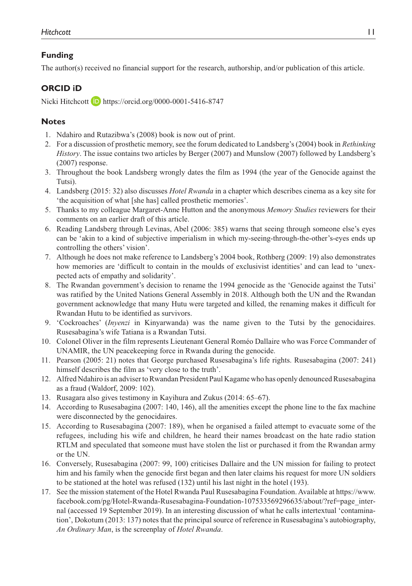# **Funding**

The author(s) received no financial support for the research, authorship, and/or publication of this article.

# **ORCID iD**

Nicki Hitchcott **b** <https://orcid.org/0000-0001-5416-8747>

# **Notes**

- 1. Ndahiro and Rutazibwa's (2008) book is now out of print.
- 2. For a discussion of prosthetic memory, see the forum dedicated to Landsberg's (2004) book in *Rethinking History*. The issue contains two articles by Berger (2007) and Munslow (2007) followed by Landsberg's (2007) response.
- 3. Throughout the book Landsberg wrongly dates the film as 1994 (the year of the Genocide against the Tutsi).
- 4. Landsberg (2015: 32) also discusses *Hotel Rwanda* in a chapter which describes cinema as a key site for 'the acquisition of what [she has] called prosthetic memories'.
- 5. Thanks to my colleague Margaret-Anne Hutton and the anonymous *Memory Studies* reviewers for their comments on an earlier draft of this article.
- 6. Reading Landsberg through Levinas, Abel (2006: 385) warns that seeing through someone else's eyes can be 'akin to a kind of subjective imperialism in which my-seeing-through-the-other's-eyes ends up controlling the others' vision'.
- 7. Although he does not make reference to Landsberg's 2004 book, Rothberg (2009: 19) also demonstrates how memories are 'difficult to contain in the moulds of exclusivist identities' and can lead to 'unexpected acts of empathy and solidarity'.
- 8. The Rwandan government's decision to rename the 1994 genocide as the 'Genocide against the Tutsi' was ratified by the United Nations General Assembly in 2018. Although both the UN and the Rwandan government acknowledge that many Hutu were targeted and killed, the renaming makes it difficult for Rwandan Hutu to be identified as survivors.
- 9. 'Cockroaches' (*Inyenzi* in Kinyarwanda) was the name given to the Tutsi by the genocidaires. Rusesabagina's wife Tatiana is a Rwandan Tutsi.
- 10. Colonel Oliver in the film represents Lieutenant General Roméo Dallaire who was Force Commander of UNAMIR, the UN peacekeeping force in Rwanda during the genocide.
- 11. Pearson (2005: 21) notes that George purchased Rusesabagina's life rights. Rusesabagina (2007: 241) himself describes the film as 'very close to the truth'.
- 12. Alfred Ndahiro is an adviser to Rwandan President Paul Kagame who has openly denounced Rusesabagina as a fraud (Waldorf, 2009: 102).
- 13. Rusagara also gives testimony in Kayihura and Zukus (2014: 65–67).
- 14. According to Rusesabagina (2007: 140, 146), all the amenities except the phone line to the fax machine were disconnected by the genocidaires.
- 15. According to Rusesabagina (2007: 189), when he organised a failed attempt to evacuate some of the refugees, including his wife and children, he heard their names broadcast on the hate radio station RTLM and speculated that someone must have stolen the list or purchased it from the Rwandan army or the UN.
- 16. Conversely, Rusesabagina (2007: 99, 100) criticises Dallaire and the UN mission for failing to protect him and his family when the genocide first began and then later claims his request for more UN soldiers to be stationed at the hotel was refused (132) until his last night in the hotel (193).
- 17. See the mission statement of the Hotel Rwanda Paul Rusesabagina Foundation. Available at [https://www.](https://www.facebook.com/pg/Hotel-Rwanda-Rusesabagina-Foundation-107533569296635/about/?ref=page_internal) [facebook.com/pg/Hotel-Rwanda-Rusesabagina-Foundation-107533569296635/about/?ref=page\\_inter](https://www.facebook.com/pg/Hotel-Rwanda-Rusesabagina-Foundation-107533569296635/about/?ref=page_internal)[nal](https://www.facebook.com/pg/Hotel-Rwanda-Rusesabagina-Foundation-107533569296635/about/?ref=page_internal) (accessed 19 September 2019). In an interesting discussion of what he calls intertextual 'contamination', Dokotum (2013: 137) notes that the principal source of reference in Rusesabagina's autobiography, *An Ordinary Man*, is the screenplay of *Hotel Rwanda*.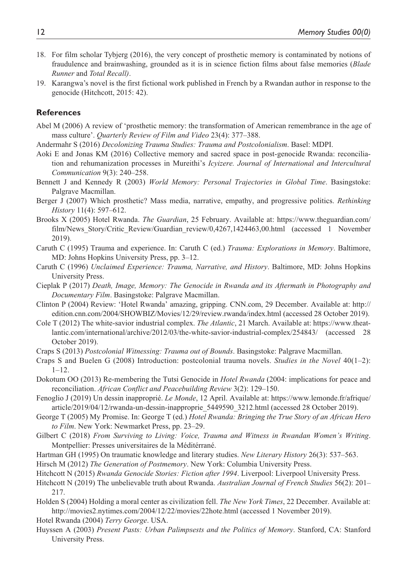- 18. For film scholar Tybjerg (2016), the very concept of prosthetic memory is contaminated by notions of fraudulence and brainwashing, grounded as it is in science fiction films about false memories (*Blade Runner* and *Total Recall)*.
- 19. Karangwa's novel is the first fictional work published in French by a Rwandan author in response to the genocide (Hitchcott, 2015: 42).

## **References**

- Abel M (2006) A review of 'prosthetic memory: the transformation of American remembrance in the age of mass culture'. *Quarterly Review of Film and Video* 23(4): 377–388.
- Andermahr S (2016) *Decolonizing Trauma Studies: Trauma and Postcolonialism*. Basel: MDPI.
- Aoki E and Jonas KM (2016) Collective memory and sacred space in post-genocide Rwanda: reconciliation and rehumanization processes in Mureithi's *Icyizere. Journal of International and Intercultural Communication* 9(3): 240–258.
- Bennett J and Kennedy R (2003) *World Memory: Personal Trajectories in Global Time*. Basingstoke: Palgrave Macmillan.
- Berger J (2007) Which prosthetic? Mass media, narrative, empathy, and progressive politics. *Rethinking History* 11(4): 597–612.
- Brooks X (2005) Hotel Rwanda. *The Guardian*, 25 February. Available at: [https://www.theguardian.com/](https://www.theguardian.com/film/News_Story/Critic_Review/Guardian_review/0,4267,1424463,00.html) [film/News\\_Story/Critic\\_Review/Guardian\\_review/0,4267,1424463,00.html](https://www.theguardian.com/film/News_Story/Critic_Review/Guardian_review/0,4267,1424463,00.html) (accessed 1 November 2019).
- Caruth C (1995) Trauma and experience. In: Caruth C (ed.) *Trauma: Explorations in Memory*. Baltimore, MD: Johns Hopkins University Press, pp. 3–12.
- Caruth C (1996) *Unclaimed Experience: Trauma, Narrative, and History*. Baltimore, MD: Johns Hopkins University Press.
- Cieplak P (2017) *Death, Image, Memory: The Genocide in Rwanda and its Aftermath in Photography and Documentary Film*. Basingstoke: Palgrave Macmillan.
- Clinton P (2004) Review: 'Hotel Rwanda' amazing, gripping. CNN.com, 29 December. Available at: [http://](http://edition.cnn.com/2004/SHOWBIZ/Movies/12/29/review.rwanda/index.html) [edition.cnn.com/2004/SHOWBIZ/Movies/12/29/review.rwanda/index.html](http://edition.cnn.com/2004/SHOWBIZ/Movies/12/29/review.rwanda/index.html) (accessed 28 October 2019).
- Cole T (2012) The white-savior industrial complex. *The Atlantic*, 21 March. Available at: [https://www.theat](https://www.theatlantic.com/international/archive/2012/03/the-white-savior-industrial-complex/254843/)[lantic.com/international/archive/2012/03/the-white-savior-industrial-complex/254843/](https://www.theatlantic.com/international/archive/2012/03/the-white-savior-industrial-complex/254843/) (accessed 28 October 2019).
- Craps S (2013) *Postcolonial Witnessing: Trauma out of Bounds*. Basingstoke: Palgrave Macmillan.
- Craps S and Buelen G (2008) Introduction: postcolonial trauma novels. *Studies in the Novel* 40(1–2):  $1 - 12$ .
- Dokotum OO (2013) Re-membering the Tutsi Genocide in *Hotel Rwanda* (2004: implications for peace and reconciliation. *African Conflict and Peacebuilding Review* 3(2): 129–150.
- Fenoglio J (2019) Un dessin inapproprié. *Le Monde*, 12 April. Available at: [https://www.lemonde.fr/afrique/](https://www.lemonde.fr/afrique/article/2019/04/12/rwanda-un-dessin-inapproprie_5449590_3212.html) [article/2019/04/12/rwanda-un-dessin-inapproprie\\_5449590\\_3212.html](https://www.lemonde.fr/afrique/article/2019/04/12/rwanda-un-dessin-inapproprie_5449590_3212.html) (accessed 28 October 2019).
- George T (2005) My Promise. In: George T (ed.) *Hotel Rwanda: Bringing the True Story of an African Hero to Film*. New York: Newmarket Press, pp. 23–29.
- Gilbert C (2018) *From Surviving to Living: Voice, Trauma and Witness in Rwandan Women's Writing*. Montpellier: Presses universitaires de la Méditérrané.
- Hartman GH (1995) On traumatic knowledge and literary studies. *New Literary History* 26(3): 537–563.
- Hirsch M (2012) *The Generation of Postmemory*. New York: Columbia University Press.
- Hitchcott N (2015) *Rwanda Genocide Stories: Fiction after 1994*. Liverpool: Liverpool University Press.
- Hitchcott N (2019) The unbelievable truth about Rwanda. *Australian Journal of French Studies* 56(2): 201– 217.
- Holden S (2004) Holding a moral center as civilization fell. *The New York Times*, 22 December. Available at: <http://movies2.nytimes.com/2004/12/22/movies/22hote.html>(accessed 1 November 2019).

Hotel Rwanda (2004) *Terry George*. USA.

Huyssen A (2003) *Present Pasts: Urban Palimpsests and the Politics of Memory*. Stanford, CA: Stanford University Press.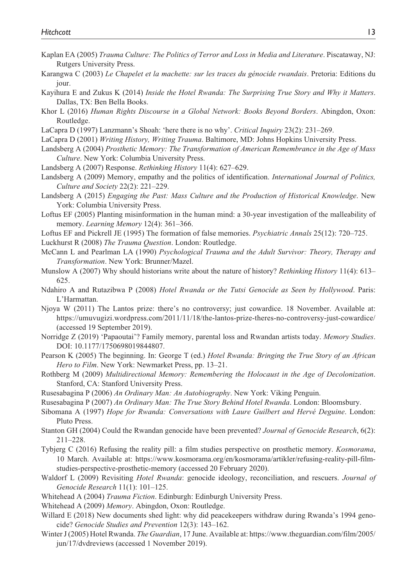- Kaplan EA (2005) *Trauma Culture: The Politics of Terror and Loss in Media and Literature*. Piscataway, NJ: Rutgers University Press.
- Karangwa C (2003) *Le Chapelet et la machette: sur les traces du génocide rwandais*. Pretoria: Editions du jour.
- Kayihura E and Zukus K (2014) *Inside the Hotel Rwanda: The Surprising True Story and Why it Matters*. Dallas, TX: Ben Bella Books.
- Khor L (2016) *Human Rights Discourse in a Global Network: Books Beyond Borders*. Abingdon, Oxon: Routledge.
- LaCapra D (1997) Lanzmann's Shoah: 'here there is no why'. *Critical Inquiry* 23(2): 231–269.
- LaCapra D (2001) *Writing History, Writing Trauma*. Baltimore, MD: Johns Hopkins University Press.
- Landsberg A (2004) *Prosthetic Memory: The Transformation of American Remembrance in the Age of Mass Culture*. New York: Columbia University Press.
- Landsberg A (2007) Response. *Rethinking History* 11(4): 627–629.
- Landsberg A (2009) Memory, empathy and the politics of identification. *International Journal of Politics, Culture and Society* 22(2): 221–229.
- Landsberg A (2015) *Engaging the Past: Mass Culture and the Production of Historical Knowledge*. New York: Columbia University Press.
- Loftus EF (2005) Planting misinformation in the human mind: a 30-year investigation of the malleability of memory. *Learning Memory* 12(4): 361–366.
- Loftus EF and Pickrell JE (1995) The formation of false memories. *Psychiatric Annals* 25(12): 720–725.
- Luckhurst R (2008) *The Trauma Question*. London: Routledge.
- McCann L and Pearlman LA (1990) *Psychological Trauma and the Adult Survivor: Theory, Therapy and Transformation*. New York: Brunner/Mazel.
- Munslow A (2007) Why should historians write about the nature of history? *Rethinking History* 11(4): 613– 625.
- Ndahiro A and Rutazibwa P (2008) *Hotel Rwanda or the Tutsi Genocide as Seen by Hollywood*. Paris: L'Harmattan.
- Njoya W (2011) The Lantos prize: there's no controversy; just cowardice. 18 November. Available at: <https://umuvugizi.wordpress.com/2011/11/18/the-lantos-prize-theres-no-controversy-just-cowardice/> (accessed 19 September 2019).
- Norridge Z (2019) 'Papaoutai'? Family memory, parental loss and Rwandan artists today. *Memory Studies*. DOI: 10.1177/1750698019844807.
- Pearson K (2005) The beginning. In: George T (ed.) *Hotel Rwanda: Bringing the True Story of an African Hero to Film*. New York: Newmarket Press, pp. 13–21.
- Rothberg M (2009) *Multidirectional Memory: Remembering the Holocaust in the Age of Decolonization*. Stanford, CA: Stanford University Press.
- Rusesabagina P (2006) *An Ordinary Man: An Autobiography*. New York: Viking Penguin.
- Rusesabagina P (2007) *An Ordinary Man: The True Story Behind Hotel Rwanda*. London: Bloomsbury.
- Sibomana A (1997) *Hope for Rwanda: Conversations with Laure Guilbert and Hervé Deguine*. London: Pluto Press.
- Stanton GH (2004) Could the Rwandan genocide have been prevented? *Journal of Genocide Research*, 6(2): 211–228.
- Tybjerg C (2016) Refusing the reality pill: a film studies perspective on prosthetic memory. *Kosmorama*, 10 March. Available at: [https://www.kosmorama.org/en/kosmorama/artikler/refusing-reality-pill-film](https://www.kosmorama.org/en/kosmorama/artikler/refusing-reality-pill-film-studies-perspective-prosthetic-memory)[studies-perspective-prosthetic-memory](https://www.kosmorama.org/en/kosmorama/artikler/refusing-reality-pill-film-studies-perspective-prosthetic-memory) (accessed 20 February 2020).
- Waldorf L (2009) Revisiting *Hotel Rwanda*: genocide ideology, reconciliation, and rescuers. *Journal of Genocide Research* 11(1): 101–125.
- Whitehead A (2004) *Trauma Fiction*. Edinburgh: Edinburgh University Press.
- Whitehead A (2009) *Memory*. Abingdon, Oxon: Routledge.
- Willard E (2018) New documents shed light: why did peacekeepers withdraw during Rwanda's 1994 genocide? *Genocide Studies and Prevention* 12(3): 143–162.
- Winter J (2005) Hotel Rwanda. *The Guardian*, 17 June. Available at: [https://www.theguardian.com/film/2005/](https://www.theguardian.com/film/2005/jun/17/dvdreviews) [jun/17/dvdreviews](https://www.theguardian.com/film/2005/jun/17/dvdreviews) (accessed 1 November 2019).